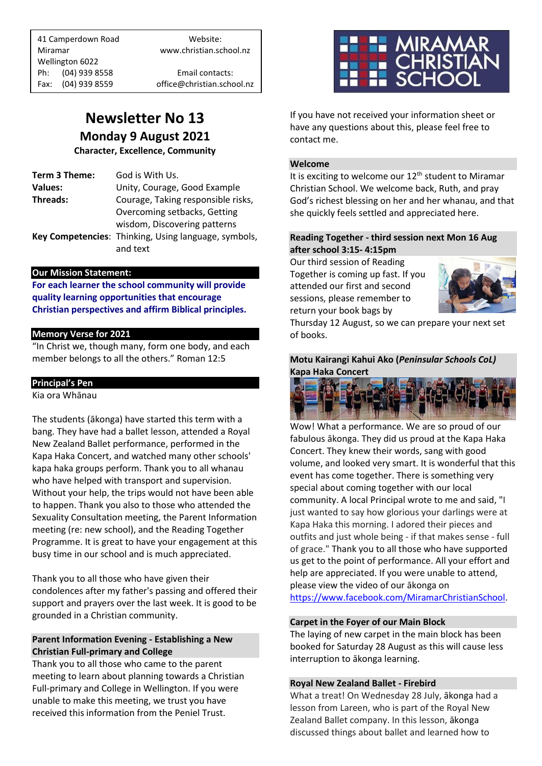41 Camperdown Road Website: Miramar www.christian.school.nz Wellington 6022 Ph: (04) 939 8558 Email contacts: Fax: (04) 939 8559 office@christian.school.nz

# **Newsletter No 13 Monday 9 August 2021**

**Character, Excellence, Community**

| Term 3 Theme:  | God is With Us.                                      |
|----------------|------------------------------------------------------|
| <b>Values:</b> | Unity, Courage, Good Example                         |
| Threads:       | Courage, Taking responsible risks,                   |
|                | Overcoming setbacks, Getting                         |
|                | wisdom, Discovering patterns                         |
|                | Key Competencies: Thinking, Using language, symbols, |
|                | and text                                             |
|                |                                                      |

#### **Our Mission Statement:**

**For each learner the school community will provide quality learning opportunities that encourage Christian perspectives and affirm Biblical principles***.*

# **Memory Verse for 2021**

"In Christ we, though many, form one body, and each member belongs to all the others." Roman 12:5

## **Principal's Pen**

Kia ora Whānau

The students (ākonga) have started this term with a bang. They have had a ballet lesson, attended a Royal New Zealand Ballet performance, performed in the Kapa Haka Concert, and watched many other schools' kapa haka groups perform. Thank you to all whanau who have helped with transport and supervision. Without your help, the trips would not have been able to happen. Thank you also to those who attended the Sexuality Consultation meeting, the Parent Information meeting (re: new school), and the Reading Together Programme. It is great to have your engagement at this busy time in our school and is much appreciated.

Thank you to all those who have given their condolences after my father's passing and offered their support and prayers over the last week. It is good to be grounded in a Christian community.

# **Parent Information Evening - Establishing a New Christian Full-primary and College**

Thank you to all those who came to the parent meeting to learn about planning towards a Christian Full-primary and College in Wellington. If you were unable to make this meeting, we trust you have received this information from the Peniel Trust.



If you have not received your information sheet or have any questions about this, please feel free to contact me.

#### **Welcome**

It is exciting to welcome our 12<sup>th</sup> student to Miramar Christian School. We welcome back, Ruth, and pray God's richest blessing on her and her whanau, and that she quickly feels settled and appreciated here.

# **Reading Together - third session next Mon 16 Aug after school 3:15- 4:15pm**

Our third session of Reading Together is coming up fast. If you attended our first and second sessions, please remember to return your book bags by



Thursday 12 August, so we can prepare your next set of books.

**Motu Kairangi Kahui Ako (***Peninsular Schools CoL)* **Kapa Haka Concert**



Wow! What a performance. We are so proud of our fabulous ākonga. They did us proud at the Kapa Haka Concert. They knew their words, sang with good volume, and looked very smart. It is wonderful that this event has come together. There is something very special about coming together with our local community. A local Principal wrote to me and said, "I just wanted to say how glorious your darlings were at Kapa Haka this morning. I adored their pieces and outfits and just whole being - if that makes sense - full of grace." Thank you to all those who have supported us get to the point of performance. All your effort and help are appreciated. If you were unable to attend, please view the video of our ākonga on [https://www.facebook.com/MiramarChristianSchool.](https://www.facebook.com/MiramarChristianSchool)

#### **Carpet in the Foyer of our Main Block**

The laying of new carpet in the main block has been booked for Saturday 28 August as this will cause less interruption to ākonga learning.

#### **Royal New Zealand Ballet - Firebird**

What a treat! On Wednesday 28 July, ākonga had a lesson from Lareen, who is part of the Royal New Zealand Ballet company. In this lesson, ākonga discussed things about ballet and learned how to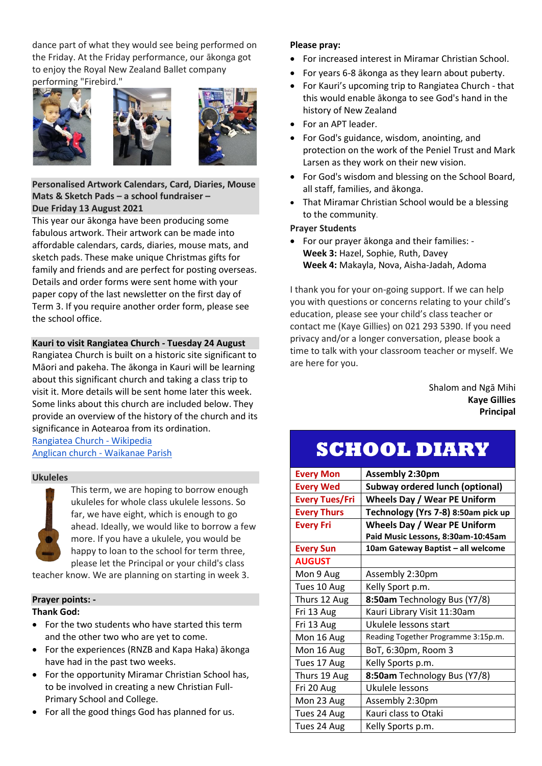dance part of what they would see being performed on the Friday. At the Friday performance, our ākonga got to enjoy the Royal New Zealand Ballet company performing "Firebird."







## **Personalised Artwork Calendars, Card, Diaries, Mouse Mats & Sketch Pads – a school fundraiser – Due Friday 13 August 2021**

This year our ākonga have been producing some fabulous artwork. Their artwork can be made into affordable calendars, cards, diaries, mouse mats, and sketch pads. These make unique Christmas gifts for family and friends and are perfect for posting overseas. Details and order forms were sent home with your paper copy of the last newsletter on the first day of Term 3. If you require another order form, please see the school office.

# **Kauri to visit Rangiatea Church - Tuesday 24 August**

Rangiatea Church is built on a historic site significant to Māori and pakeha. The ākonga in Kauri will be learning about this significant church and taking a class trip to visit it. More details will be sent home later this week. Some links about this church are included below. They provide an overview of the history of the church and its significance in Aotearoa from its ordination. [Rangiatea Church -](https://en.wikipedia.org/wiki/Rangi%C4%81tea_Church) Wikipedia

[Anglican church -](https://www.anglican.co.nz/about/our-story/) Waikanae Parish

# **Ukuleles**

This term, we are hoping to borrow enough ukuleles for whole class ukulele lessons. So far, we have eight, which is enough to go ahead. Ideally, we would like to borrow a few more. If you have a ukulele, you would be happy to loan to the school for term three, please let the Principal or your child's class

teacher know. We are planning on starting in week 3.

# **Prayer points: - Thank God:**

- For the two students who have started this term and the other two who are yet to come.
- For the experiences (RNZB and Kapa Haka) ākonga have had in the past two weeks.
- For the opportunity Miramar Christian School has, to be involved in creating a new Christian Full-Primary School and College.
- For all the good things God has planned for us.

# **Please pray:**

- For increased interest in Miramar Christian School.
- For years 6-8 ākonga as they learn about puberty.
- For Kauri's upcoming trip to Rangiatea Church that this would enable ākonga to see God's hand in the history of New Zealand
- For an APT leader.
- For God's guidance, wisdom, anointing, and protection on the work of the Peniel Trust and Mark Larsen as they work on their new vision.
- For God's wisdom and blessing on the School Board, all staff, families, and ākonga.
- That Miramar Christian School would be a blessing to the community.

# **Prayer Students**

• For our prayer ākonga and their families: - **Week 3:** Hazel, Sophie, Ruth, Davey **Week 4:** Makayla, Nova, Aisha-Jadah, Adoma

I thank you for your on-going support. If we can help you with questions or concerns relating to your child's education, please see your child's class teacher or contact me (Kaye Gillies) on 021 293 5390. If you need privacy and/or a longer conversation, please book a time to talk with your classroom teacher or myself. We are here for you.

> Shalom and Ngā Mihi **Kaye Gillies Principal**

# **SCHOOL DIARY**

| <b>Every Mon</b>      | <b>Assembly 2:30pm</b>                 |
|-----------------------|----------------------------------------|
| <b>Every Wed</b>      | <b>Subway ordered lunch (optional)</b> |
| <b>Every Tues/Fri</b> | <b>Wheels Day / Wear PE Uniform</b>    |
| <b>Every Thurs</b>    | Technology (Yrs 7-8) 8:50am pick up    |
| <b>Every Fri</b>      | <b>Wheels Day / Wear PE Uniform</b>    |
|                       | Paid Music Lessons, 8:30am-10:45am     |
| <b>Every Sun</b>      | 10am Gateway Baptist - all welcome     |
| <b>AUGUST</b>         |                                        |
| Mon 9 Aug             | Assembly 2:30pm                        |
| Tues 10 Aug           | Kelly Sport p.m.                       |
| Thurs 12 Aug          | 8:50am Technology Bus (Y7/8)           |
| Fri 13 Aug            | Kauri Library Visit 11:30am            |
| Fri 13 Aug            | Ukulele lessons start                  |
| Mon 16 Aug            | Reading Together Programme 3:15p.m.    |
| Mon 16 Aug            | BoT, 6:30pm, Room 3                    |
| Tues 17 Aug           | Kelly Sports p.m.                      |
| Thurs 19 Aug          | 8:50am Technology Bus (Y7/8)           |
| Fri 20 Aug            | Ukulele lessons                        |
| Mon 23 Aug            | Assembly 2:30pm                        |
| Tues 24 Aug           | Kauri class to Otaki                   |
| Tues 24 Aug           | Kelly Sports p.m.                      |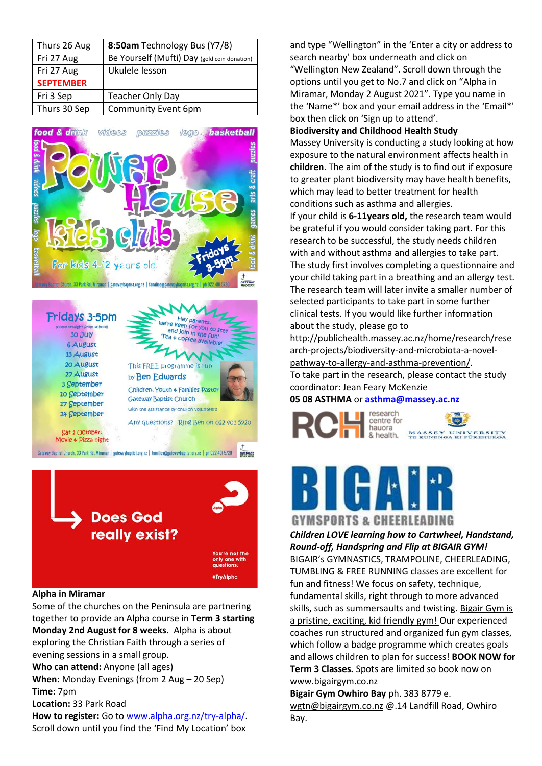| Thurs 26 Aug     | 8:50am Technology Bus (Y7/8)                 |
|------------------|----------------------------------------------|
| Fri 27 Aug       | Be Yourself (Mufti) Day (gold coin donation) |
| Fri 27 Aug       | Ukulele lesson                               |
| <b>SEPTEMBER</b> |                                              |
| Fri 3 Sep        | <b>Teacher Only Day</b>                      |
| Thurs 30 Sep     | <b>Community Event 6pm</b>                   |







# **Alpha in Miramar**

Some of the churches on the Peninsula are partnering together to provide an Alpha course in **Term 3 starting Monday 2nd August for 8 weeks.** Alpha is about exploring the Christian Faith through a series of evening sessions in a small group. **Who can attend:** Anyone (all ages) **When:** Monday Evenings (from 2 Aug – 20 Sep) **Time:** 7pm **Location:** 33 Park Road **How to register:** Go to [www.alpha.org.nz/try-alpha/.](http://www.alpha.org.nz/try-alpha/) Scroll down until you find the 'Find My Location' box

and type "Wellington" in the 'Enter a city or address to search nearby' box underneath and click on "Wellington New Zealand". Scroll down through the options until you get to No.7 and click on "Alpha in Miramar, Monday 2 August 2021". Type you name in the 'Name\*' box and your email address in the 'Email\*' box then click on 'Sign up to attend'.

#### **Biodiversity and Childhood Health Study**

Massey University is conducting a study looking at how exposure to the natural environment affects health in **children**. The aim of the study is to find out if exposure to greater plant biodiversity may have health benefits, which may lead to better treatment for health conditions such as asthma and allergies.

If your child is **6-11years old,** the research team would be grateful if you would consider taking part. For this research to be successful, the study needs children with and without asthma and allergies to take part. The study first involves completing a questionnaire and your child taking part in a breathing and an allergy test. The research team will later invite a smaller number of selected participants to take part in some further clinical tests. If you would like further information about the study, please go to

[http://publichealth.massey.ac.nz/home/research/rese](http://publichealth.massey.ac.nz/home/research/research-projects/biodiversity-and-microbiota-a-novel-pathway-to-allergy-and-asthma-prevention/) [arch-projects/biodiversity-and-microbiota-a-novel](http://publichealth.massey.ac.nz/home/research/research-projects/biodiversity-and-microbiota-a-novel-pathway-to-allergy-and-asthma-prevention/)[pathway-to-allergy-and-asthma-prevention/.](http://publichealth.massey.ac.nz/home/research/research-projects/biodiversity-and-microbiota-a-novel-pathway-to-allergy-and-asthma-prevention/)

To take part in the research, please contact the study coordinator: Jean Feary McKenzie

#### **05 08 ASTHMA** or **[asthma@massey.ac.nz](mailto:asthma@massey.ac.nz)**





# *Children LOVE learning how to Cartwheel, Handstand,*

*Round-off, Handspring and Flip at BIGAIR GYM!* BIGAIR's GYMNASTICS, TRAMPOLINE, CHEERLEADING, TUMBLING & FREE RUNNING classes are excellent for fun and fitness! We focus on safety, technique, fundamental skills, right through to more advanced skills, such as summersaults and twisting. Bigair Gym is a pristine, exciting, kid friendly gym! Our experienced coaches run structured and organized fun gym classes, which follow a badge programme which creates goals and allows children to plan for success! **BOOK NOW for Term 3 Classes.** Spots are limited so book now on [www.bigairgym.co.nz](http://www.bigairgym.co.nz/)

**Bigair Gym Owhiro Bay** ph. 383 8779 e. [wgtn@bigairgym.co.nz](mailto:wgtn@bigairgym.co.nz) @.14 Landfill Road, Owhiro Bay.